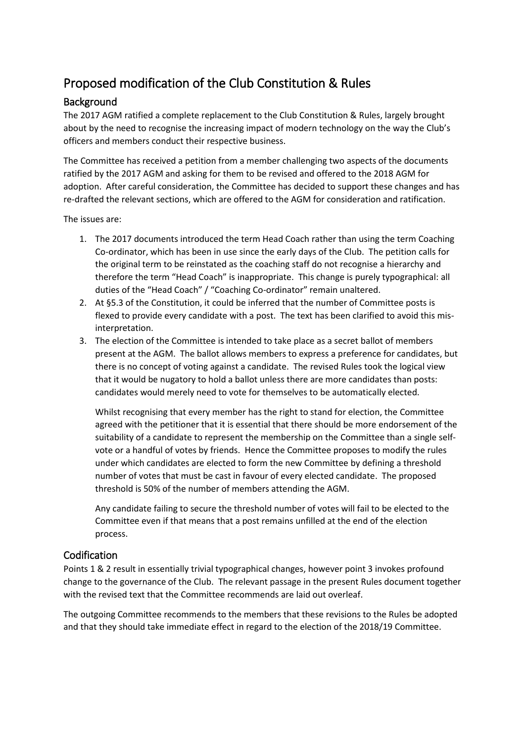## Proposed modification of the Club Constitution & Rules

## Background

The 2017 AGM ratified a complete replacement to the Club Constitution & Rules, largely brought about by the need to recognise the increasing impact of modern technology on the way the Club's officers and members conduct their respective business.

The Committee has received a petition from a member challenging two aspects of the documents ratified by the 2017 AGM and asking for them to be revised and offered to the 2018 AGM for adoption. After careful consideration, the Committee has decided to support these changes and has re-drafted the relevant sections, which are offered to the AGM for consideration and ratification.

The issues are:

- 1. The 2017 documents introduced the term Head Coach rather than using the term Coaching Co-ordinator, which has been in use since the early days of the Club. The petition calls for the original term to be reinstated as the coaching staff do not recognise a hierarchy and therefore the term "Head Coach" is inappropriate. This change is purely typographical: all duties of the "Head Coach" / "Coaching Co-ordinator" remain unaltered.
- 2. At §5.3 of the Constitution, it could be inferred that the number of Committee posts is flexed to provide every candidate with a post. The text has been clarified to avoid this misinterpretation.
- 3. The election of the Committee is intended to take place as a secret ballot of members present at the AGM. The ballot allows members to express a preference for candidates, but there is no concept of voting against a candidate. The revised Rules took the logical view that it would be nugatory to hold a ballot unless there are more candidates than posts: candidates would merely need to vote for themselves to be automatically elected.

Whilst recognising that every member has the right to stand for election, the Committee agreed with the petitioner that it is essential that there should be more endorsement of the suitability of a candidate to represent the membership on the Committee than a single selfvote or a handful of votes by friends. Hence the Committee proposes to modify the rules under which candidates are elected to form the new Committee by defining a threshold number of votes that must be cast in favour of every elected candidate. The proposed threshold is 50% of the number of members attending the AGM.

Any candidate failing to secure the threshold number of votes will fail to be elected to the Committee even if that means that a post remains unfilled at the end of the election process.

## Codification

Points 1 & 2 result in essentially trivial typographical changes, however point 3 invokes profound change to the governance of the Club. The relevant passage in the present Rules document together with the revised text that the Committee recommends are laid out overleaf.

The outgoing Committee recommends to the members that these revisions to the Rules be adopted and that they should take immediate effect in regard to the election of the 2018/19 Committee.